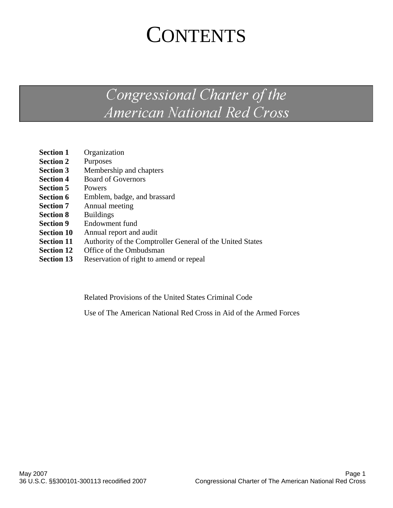# **CONTENTS**

# Congressional Charter of the **American National Red Cross**

| <b>Section 1</b>  | Organization                                              |
|-------------------|-----------------------------------------------------------|
| <b>Section 2</b>  | Purposes                                                  |
| <b>Section 3</b>  | Membership and chapters                                   |
| <b>Section 4</b>  | <b>Board of Governors</b>                                 |
| <b>Section 5</b>  | Powers                                                    |
| <b>Section 6</b>  | Emblem, badge, and brassard                               |
| <b>Section 7</b>  | Annual meeting                                            |
| <b>Section 8</b>  | <b>Buildings</b>                                          |
| <b>Section 9</b>  | Endowment fund                                            |
| <b>Section 10</b> | Annual report and audit                                   |
| <b>Section 11</b> | Authority of the Comptroller General of the United States |
| <b>Section 12</b> | Office of the Ombudsman                                   |
|                   |                                                           |

**Section 13** Reservation of right to amend or repeal

Related Provisions of the United States Criminal Code

Use of The American National Red Cross in Aid of the Armed Forces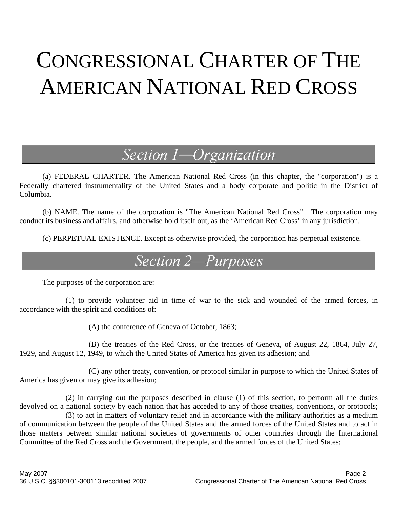# CONGRESSIONAL CHARTER OF THE AMERICAN NATIONAL RED CROSS

### Section 1-Organization

 (a) FEDERAL CHARTER. The American National Red Cross (in this chapter, the "corporation") is a Federally chartered instrumentality of the United States and a body corporate and politic in the District of Columbia.

 (b) NAME. The name of the corporation is "The American National Red Cross". The corporation may conduct its business and affairs, and otherwise hold itself out, as the 'American Red Cross' in any jurisdiction.

(c) PERPETUAL EXISTENCE. Except as otherwise provided, the corporation has perpetual existence.

### Section 2-Purposes

The purposes of the corporation are:

 (1) to provide volunteer aid in time of war to the sick and wounded of the armed forces, in accordance with the spirit and conditions of:

(A) the conference of Geneva of October, 1863;

 (B) the treaties of the Red Cross, or the treaties of Geneva, of August 22, 1864, July 27, 1929, and August 12, 1949, to which the United States of America has given its adhesion; and

 (C) any other treaty, convention, or protocol similar in purpose to which the United States of America has given or may give its adhesion;

 (2) in carrying out the purposes described in clause (1) of this section, to perform all the duties devolved on a national society by each nation that has acceded to any of those treaties, conventions, or protocols;

 (3) to act in matters of voluntary relief and in accordance with the military authorities as a medium of communication between the people of the United States and the armed forces of the United States and to act in those matters between similar national societies of governments of other countries through the International Committee of the Red Cross and the Government, the people, and the armed forces of the United States;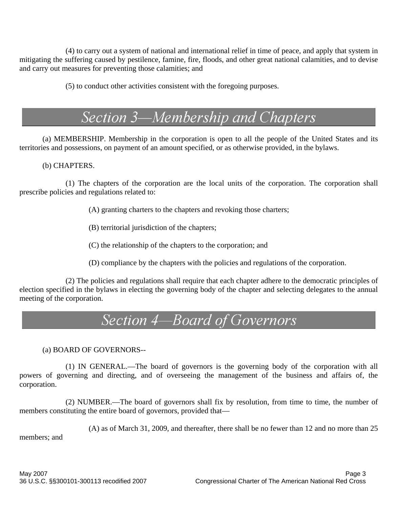(4) to carry out a system of national and international relief in time of peace, and apply that system in mitigating the suffering caused by pestilence, famine, fire, floods, and other great national calamities, and to devise and carry out measures for preventing those calamities; and

(5) to conduct other activities consistent with the foregoing purposes.

# Section 3-Membership and Chapters

(a) MEMBERSHIP. Membership in the corporation is open to all the people of the United States and its territories and possessions, on payment of an amount specified, or as otherwise provided, in the bylaws.

(b) CHAPTERS.

 (1) The chapters of the corporation are the local units of the corporation. The corporation shall prescribe policies and regulations related to:

- (A) granting charters to the chapters and revoking those charters;
- (B) territorial jurisdiction of the chapters;
- (C) the relationship of the chapters to the corporation; and
- (D) compliance by the chapters with the policies and regulations of the corporation.

 (2) The policies and regulations shall require that each chapter adhere to the democratic principles of election specified in the bylaws in electing the governing body of the chapter and selecting delegates to the annual meeting of the corporation.

### Section 4-Board of Governors

(a) BOARD OF GOVERNORS--

 (1) IN GENERAL.—The board of governors is the governing body of the corporation with all powers of governing and directing, and of overseeing the management of the business and affairs of, the corporation.

 (2) NUMBER.—The board of governors shall fix by resolution, from time to time, the number of members constituting the entire board of governors, provided that—

(A) as of March 31, 2009, and thereafter, there shall be no fewer than 12 and no more than 25

members; and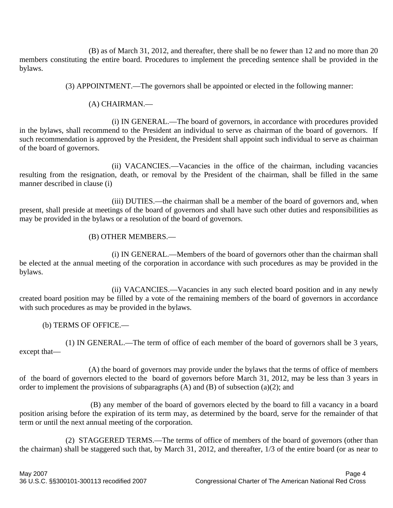(B) as of March 31, 2012, and thereafter, there shall be no fewer than 12 and no more than 20 members constituting the entire board. Procedures to implement the preceding sentence shall be provided in the bylaws.

(3) APPOINTMENT.—The governors shall be appointed or elected in the following manner:

#### (A) CHAIRMAN.—

 (i) IN GENERAL.—The board of governors, in accordance with procedures provided in the bylaws, shall recommend to the President an individual to serve as chairman of the board of governors. If such recommendation is approved by the President, the President shall appoint such individual to serve as chairman of the board of governors.

 (ii) VACANCIES.—Vacancies in the office of the chairman, including vacancies resulting from the resignation, death, or removal by the President of the chairman, shall be filled in the same manner described in clause (i)

 (iii) DUTIES.—the chairman shall be a member of the board of governors and, when present, shall preside at meetings of the board of governors and shall have such other duties and responsibilities as may be provided in the bylaws or a resolution of the board of governors.

#### (B) OTHER MEMBERS.—

 (i) IN GENERAL.—Members of the board of governors other than the chairman shall be elected at the annual meeting of the corporation in accordance with such procedures as may be provided in the bylaws.

 (ii) VACANCIES.—Vacancies in any such elected board position and in any newly created board position may be filled by a vote of the remaining members of the board of governors in accordance with such procedures as may be provided in the bylaws.

(b) TERMS OF OFFICE.—

 (1) IN GENERAL.—The term of office of each member of the board of governors shall be 3 years, except that—

 (A) the board of governors may provide under the bylaws that the terms of office of members of the board of governors elected to the board of governors before March 31, 2012, may be less than 3 years in order to implement the provisions of subparagraphs  $(A)$  and  $(B)$  of subsection  $(a)(2)$ ; and

 (B) any member of the board of governors elected by the board to fill a vacancy in a board position arising before the expiration of its term may, as determined by the board, serve for the remainder of that term or until the next annual meeting of the corporation.

 (2) STAGGERED TERMS.—The terms of office of members of the board of governors (other than the chairman) shall be staggered such that, by March 31, 2012, and thereafter, 1/3 of the entire board (or as near to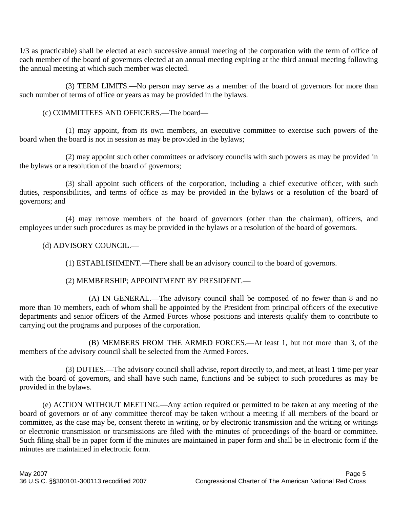1/3 as practicable) shall be elected at each successive annual meeting of the corporation with the term of office of each member of the board of governors elected at an annual meeting expiring at the third annual meeting following the annual meeting at which such member was elected.

 (3) TERM LIMITS.—No person may serve as a member of the board of governors for more than such number of terms of office or years as may be provided in the bylaws.

(c) COMMITTEES AND OFFICERS.—The board—

 (1) may appoint, from its own members, an executive committee to exercise such powers of the board when the board is not in session as may be provided in the bylaws;

 (2) may appoint such other committees or advisory councils with such powers as may be provided in the bylaws or a resolution of the board of governors;

 (3) shall appoint such officers of the corporation, including a chief executive officer, with such duties, responsibilities, and terms of office as may be provided in the bylaws or a resolution of the board of governors; and

 (4) may remove members of the board of governors (other than the chairman), officers, and employees under such procedures as may be provided in the bylaws or a resolution of the board of governors.

#### (d) ADVISORY COUNCIL.—

(1) ESTABLISHMENT.—There shall be an advisory council to the board of governors.

#### (2) MEMBERSHIP; APPOINTMENT BY PRESIDENT.—

 (A) IN GENERAL.—The advisory council shall be composed of no fewer than 8 and no more than 10 members, each of whom shall be appointed by the President from principal officers of the executive departments and senior officers of the Armed Forces whose positions and interests qualify them to contribute to carrying out the programs and purposes of the corporation.

 (B) MEMBERS FROM THE ARMED FORCES.—At least 1, but not more than 3, of the members of the advisory council shall be selected from the Armed Forces.

 (3) DUTIES.—The advisory council shall advise, report directly to, and meet, at least 1 time per year with the board of governors, and shall have such name, functions and be subject to such procedures as may be provided in the bylaws.

 (e) ACTION WITHOUT MEETING.—Any action required or permitted to be taken at any meeting of the board of governors or of any committee thereof may be taken without a meeting if all members of the board or committee, as the case may be, consent thereto in writing, or by electronic transmission and the writing or writings or electronic transmission or transmissions are filed with the minutes of proceedings of the board or committee. Such filing shall be in paper form if the minutes are maintained in paper form and shall be in electronic form if the minutes are maintained in electronic form.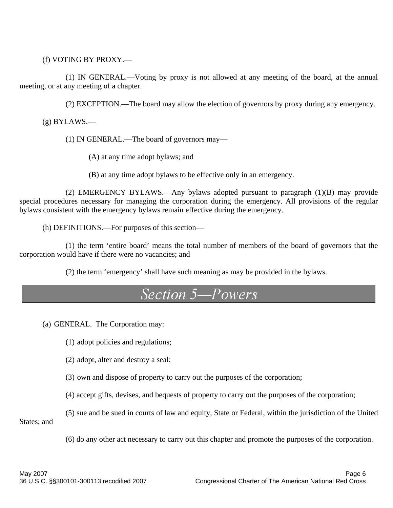(f) VOTING BY PROXY.—

 (1) IN GENERAL.—Voting by proxy is not allowed at any meeting of the board, at the annual meeting, or at any meeting of a chapter.

(2) EXCEPTION.—The board may allow the election of governors by proxy during any emergency.

 $(g)$  BYLAWS.—

(1) IN GENERAL.—The board of governors may—

(A) at any time adopt bylaws; and

(B) at any time adopt bylaws to be effective only in an emergency.

 (2) EMERGENCY BYLAWS.—Any bylaws adopted pursuant to paragraph (1)(B) may provide special procedures necessary for managing the corporation during the emergency. All provisions of the regular bylaws consistent with the emergency bylaws remain effective during the emergency.

(h) DEFINITIONS.—For purposes of this section—

 (1) the term 'entire board' means the total number of members of the board of governors that the corporation would have if there were no vacancies; and

(2) the term 'emergency' shall have such meaning as may be provided in the bylaws.

#### Section 5-Powers

(a) GENERAL. The Corporation may:

(1) adopt policies and regulations;

(2) adopt, alter and destroy a seal;

(3) own and dispose of property to carry out the purposes of the corporation;

(4) accept gifts, devises, and bequests of property to carry out the purposes of the corporation;

(5) sue and be sued in courts of law and equity, State or Federal, within the jurisdiction of the United States; and

(6) do any other act necessary to carry out this chapter and promote the purposes of the corporation.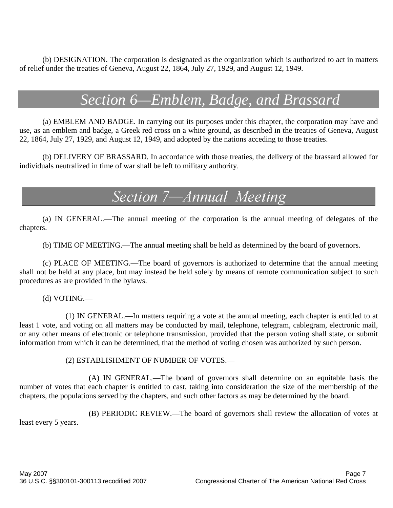(b) DESIGNATION. The corporation is designated as the organization which is authorized to act in matters of relief under the treaties of Geneva, August 22, 1864, July 27, 1929, and August 12, 1949.

## *Section 6—Emblem, Badge, and Brassard*

(a) EMBLEM AND BADGE. In carrying out its purposes under this chapter, the corporation may have and use, as an emblem and badge, a Greek red cross on a white ground, as described in the treaties of Geneva, August 22, 1864, July 27, 1929, and August 12, 1949, and adopted by the nations acceding to those treaties.

(b) DELIVERY OF BRASSARD. In accordance with those treaties, the delivery of the brassard allowed for individuals neutralized in time of war shall be left to military authority.

### Section 7-Annual Meeting

 (a) IN GENERAL.—The annual meeting of the corporation is the annual meeting of delegates of the chapters.

(b) TIME OF MEETING.—The annual meeting shall be held as determined by the board of governors.

 (c) PLACE OF MEETING.—The board of governors is authorized to determine that the annual meeting shall not be held at any place, but may instead be held solely by means of remote communication subject to such procedures as are provided in the bylaws.

(d) VOTING.—

 (1) IN GENERAL.—In matters requiring a vote at the annual meeting, each chapter is entitled to at least 1 vote, and voting on all matters may be conducted by mail, telephone, telegram, cablegram, electronic mail, or any other means of electronic or telephone transmission, provided that the person voting shall state, or submit information from which it can be determined, that the method of voting chosen was authorized by such person.

#### (2) ESTABLISHMENT OF NUMBER OF VOTES.—

 (A) IN GENERAL.—The board of governors shall determine on an equitable basis the number of votes that each chapter is entitled to cast, taking into consideration the size of the membership of the chapters, the populations served by the chapters, and such other factors as may be determined by the board.

(B) PERIODIC REVIEW.—The board of governors shall review the allocation of votes at

least every 5 years.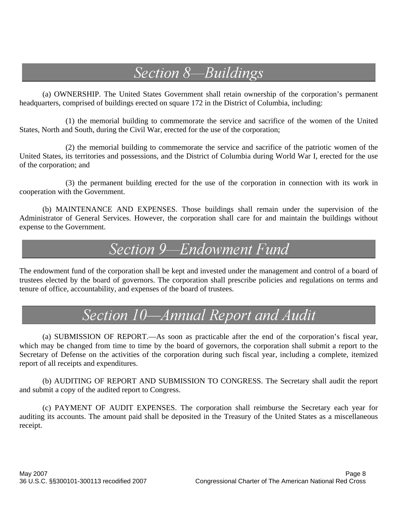# Section 8-Buildings

(a) OWNERSHIP. The United States Government shall retain ownership of the corporation's permanent headquarters, comprised of buildings erected on square 172 in the District of Columbia, including:

 (1) the memorial building to commemorate the service and sacrifice of the women of the United States, North and South, during the Civil War, erected for the use of the corporation;

 (2) the memorial building to commemorate the service and sacrifice of the patriotic women of the United States, its territories and possessions, and the District of Columbia during World War I, erected for the use of the corporation; and

 (3) the permanent building erected for the use of the corporation in connection with its work in cooperation with the Government.

(b) MAINTENANCE AND EXPENSES. Those buildings shall remain under the supervision of the Administrator of General Services. However, the corporation shall care for and maintain the buildings without expense to the Government.

### Section 9-Endowment Fund

The endowment fund of the corporation shall be kept and invested under the management and control of a board of trustees elected by the board of governors. The corporation shall prescribe policies and regulations on terms and tenure of office, accountability, and expenses of the board of trustees.

# Section 10-Annual Report and Audit

 (a) SUBMISSION OF REPORT.—As soon as practicable after the end of the corporation's fiscal year, which may be changed from time to time by the board of governors, the corporation shall submit a report to the Secretary of Defense on the activities of the corporation during such fiscal year, including a complete, itemized report of all receipts and expenditures.

(b) AUDITING OF REPORT AND SUBMISSION TO CONGRESS. The Secretary shall audit the report and submit a copy of the audited report to Congress.

(c) PAYMENT OF AUDIT EXPENSES. The corporation shall reimburse the Secretary each year for auditing its accounts. The amount paid shall be deposited in the Treasury of the United States as a miscellaneous receipt.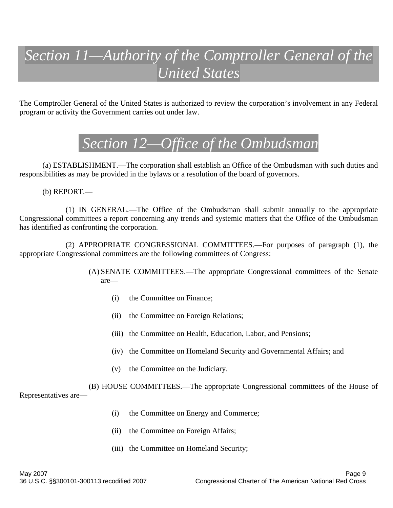# *Section 11—Authority of the Comptroller General of the United States*

The Comptroller General of the United States is authorized to review the corporation's involvement in any Federal program or activity the Government carries out under law.

### *Section 12—Office of the Ombudsman*

 (a) ESTABLISHMENT.—The corporation shall establish an Office of the Ombudsman with such duties and responsibilities as may be provided in the bylaws or a resolution of the board of governors.

(b) REPORT.—

 (1) IN GENERAL.—The Office of the Ombudsman shall submit annually to the appropriate Congressional committees a report concerning any trends and systemic matters that the Office of the Ombudsman has identified as confronting the corporation.

 (2) APPROPRIATE CONGRESSIONAL COMMITTEES.—For purposes of paragraph (1), the appropriate Congressional committees are the following committees of Congress:

> (A) SENATE COMMITTEES.—The appropriate Congressional committees of the Senate are—

- (i) the Committee on Finance;
- (ii) the Committee on Foreign Relations;
- (iii) the Committee on Health, Education, Labor, and Pensions;
- (iv) the Committee on Homeland Security and Governmental Affairs; and
- (v) the Committee on the Judiciary.

 (B) HOUSE COMMITTEES.—The appropriate Congressional committees of the House of Representatives are—

- (i) the Committee on Energy and Commerce;
- (ii) the Committee on Foreign Affairs;
- (iii) the Committee on Homeland Security;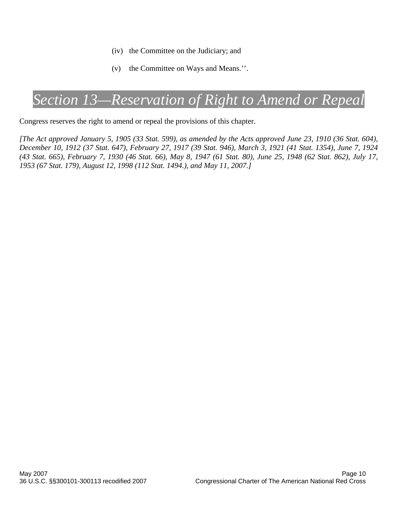- (iv) the Committee on the Judiciary; and
- (v) the Committee on Ways and Means.''.

### *Section 13—Reservation of Right to Amend or Repeal*

Congress reserves the right to amend or repeal the provisions of this chapter.

*[The Act approved January 5, 1905 (33 Stat. 599), as amended by the Acts approved June 23, 1910 (36 Stat. 604), December 10, 1912 (37 Stat. 647), February 27, 1917 (39 Stat. 946), March 3, 1921 (41 Stat. 1354), June 7, 1924 (43 Stat. 665), February 7, 1930 (46 Stat. 66), May 8, 1947 (61 Stat. 80), June 25, 1948 (62 Stat. 862), July 17, 1953 (67 Stat. 179), August 12, 1998 (112 Stat. 1494.), and May 11, 2007.]*